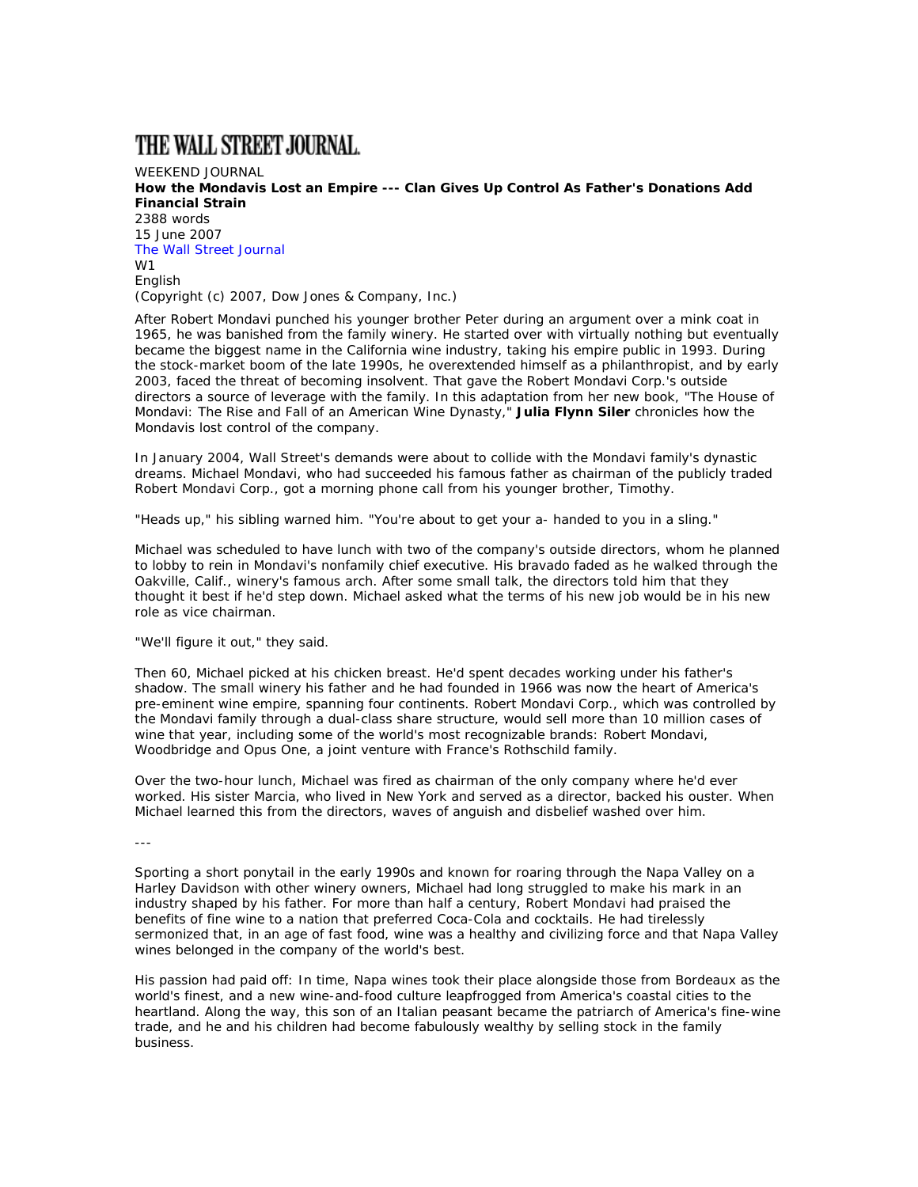## THE WALL STREET JOURNAL.

WEEKEND JOURNAL **How the Mondavis Lost an Empire --- Clan Gives Up Control As Father's Donations Add Financial Strain**  2388 words 15 June 2007 The Wall Street Journal W1 English

(Copyright (c) 2007, Dow Jones & Company, Inc.)

After Robert Mondavi punched his younger brother Peter during an argument over a mink coat in 1965, he was banished from the family winery. He started over with virtually nothing but eventually became the biggest name in the California wine industry, taking his empire public in 1993. During the stock-market boom of the late 1990s, he overextended himself as a philanthropist, and by early 2003, faced the threat of becoming insolvent. That gave the Robert Mondavi Corp.'s outside directors a source of leverage with the family. In this adaptation from her new book, "The House of Mondavi: The Rise and Fall of an American Wine Dynasty," **Julia Flynn Siler** chronicles how the Mondavis lost control of the company.

In January 2004, Wall Street's demands were about to collide with the Mondavi family's dynastic dreams. Michael Mondavi, who had succeeded his famous father as chairman of the publicly traded Robert Mondavi Corp., got a morning phone call from his younger brother, Timothy.

"Heads up," his sibling warned him. "You're about to get your a- handed to you in a sling."

Michael was scheduled to have lunch with two of the company's outside directors, whom he planned to lobby to rein in Mondavi's nonfamily chief executive. His bravado faded as he walked through the Oakville, Calif., winery's famous arch. After some small talk, the directors told him that they thought it best if he'd step down. Michael asked what the terms of his new job would be in his new role as vice chairman.

"We'll figure it out," they said.

Then 60, Michael picked at his chicken breast. He'd spent decades working under his father's shadow. The small winery his father and he had founded in 1966 was now the heart of America's pre-eminent wine empire, spanning four continents. Robert Mondavi Corp., which was controlled by the Mondavi family through a dual-class share structure, would sell more than 10 million cases of wine that year, including some of the world's most recognizable brands: Robert Mondavi, Woodbridge and Opus One, a joint venture with France's Rothschild family.

Over the two-hour lunch, Michael was fired as chairman of the only company where he'd ever worked. His sister Marcia, who lived in New York and served as a director, backed his ouster. When Michael learned this from the directors, waves of anguish and disbelief washed over him.

---

Sporting a short ponytail in the early 1990s and known for roaring through the Napa Valley on a Harley Davidson with other winery owners, Michael had long struggled to make his mark in an industry shaped by his father. For more than half a century, Robert Mondavi had praised the benefits of fine wine to a nation that preferred Coca-Cola and cocktails. He had tirelessly sermonized that, in an age of fast food, wine was a healthy and civilizing force and that Napa Valley wines belonged in the company of the world's best.

His passion had paid off: In time, Napa wines took their place alongside those from Bordeaux as the world's finest, and a new wine-and-food culture leapfrogged from America's coastal cities to the heartland. Along the way, this son of an Italian peasant became the patriarch of America's fine-wine trade, and he and his children had become fabulously wealthy by selling stock in the family business.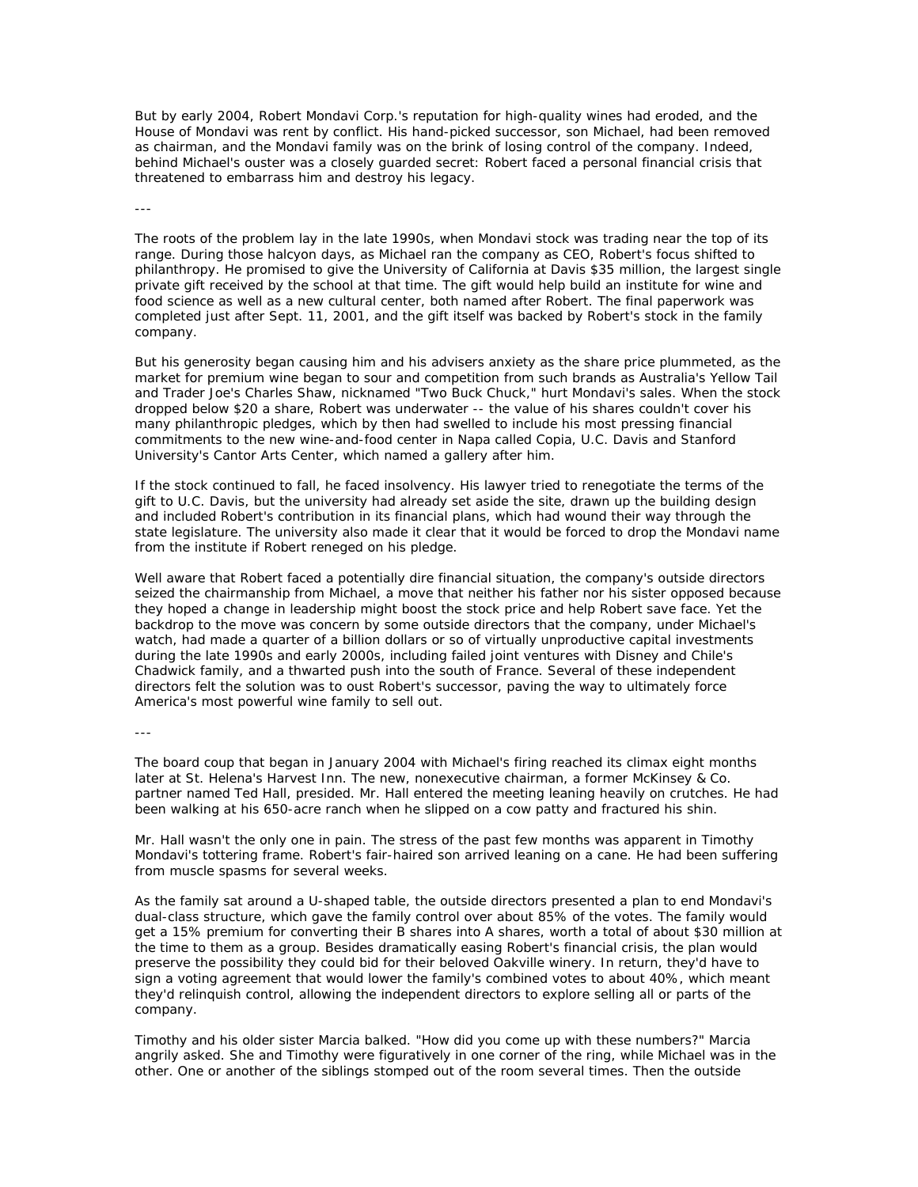But by early 2004, Robert Mondavi Corp.'s reputation for high-quality wines had eroded, and the House of Mondavi was rent by conflict. His hand-picked successor, son Michael, had been removed as chairman, and the Mondavi family was on the brink of losing control of the company. Indeed, behind Michael's ouster was a closely guarded secret: Robert faced a personal financial crisis that threatened to embarrass him and destroy his legacy.

---

The roots of the problem lay in the late 1990s, when Mondavi stock was trading near the top of its range. During those halcyon days, as Michael ran the company as CEO, Robert's focus shifted to philanthropy. He promised to give the University of California at Davis \$35 million, the largest single private gift received by the school at that time. The gift would help build an institute for wine and food science as well as a new cultural center, both named after Robert. The final paperwork was completed just after Sept. 11, 2001, and the gift itself was backed by Robert's stock in the family company.

But his generosity began causing him and his advisers anxiety as the share price plummeted, as the market for premium wine began to sour and competition from such brands as Australia's Yellow Tail and Trader Joe's Charles Shaw, nicknamed "Two Buck Chuck," hurt Mondavi's sales. When the stock dropped below \$20 a share, Robert was underwater -- the value of his shares couldn't cover his many philanthropic pledges, which by then had swelled to include his most pressing financial commitments to the new wine-and-food center in Napa called Copia, U.C. Davis and Stanford University's Cantor Arts Center, which named a gallery after him.

If the stock continued to fall, he faced insolvency. His lawyer tried to renegotiate the terms of the gift to U.C. Davis, but the university had already set aside the site, drawn up the building design and included Robert's contribution in its financial plans, which had wound their way through the state legislature. The university also made it clear that it would be forced to drop the Mondavi name from the institute if Robert reneged on his pledge.

Well aware that Robert faced a potentially dire financial situation, the company's outside directors seized the chairmanship from Michael, a move that neither his father nor his sister opposed because they hoped a change in leadership might boost the stock price and help Robert save face. Yet the backdrop to the move was concern by some outside directors that the company, under Michael's watch, had made a quarter of a billion dollars or so of virtually unproductive capital investments during the late 1990s and early 2000s, including failed joint ventures with Disney and Chile's Chadwick family, and a thwarted push into the south of France. Several of these independent directors felt the solution was to oust Robert's successor, paving the way to ultimately force America's most powerful wine family to sell out.

---

The board coup that began in January 2004 with Michael's firing reached its climax eight months later at St. Helena's Harvest Inn. The new, nonexecutive chairman, a former McKinsey & Co. partner named Ted Hall, presided. Mr. Hall entered the meeting leaning heavily on crutches. He had been walking at his 650-acre ranch when he slipped on a cow patty and fractured his shin.

Mr. Hall wasn't the only one in pain. The stress of the past few months was apparent in Timothy Mondavi's tottering frame. Robert's fair-haired son arrived leaning on a cane. He had been suffering from muscle spasms for several weeks.

As the family sat around a U-shaped table, the outside directors presented a plan to end Mondavi's dual-class structure, which gave the family control over about 85% of the votes. The family would get a 15% premium for converting their B shares into A shares, worth a total of about \$30 million at the time to them as a group. Besides dramatically easing Robert's financial crisis, the plan would preserve the possibility they could bid for their beloved Oakville winery. In return, they'd have to sign a voting agreement that would lower the family's combined votes to about 40%, which meant they'd relinquish control, allowing the independent directors to explore selling all or parts of the company.

Timothy and his older sister Marcia balked. "How did you come up with these numbers?" Marcia angrily asked. She and Timothy were figuratively in one corner of the ring, while Michael was in the other. One or another of the siblings stomped out of the room several times. Then the outside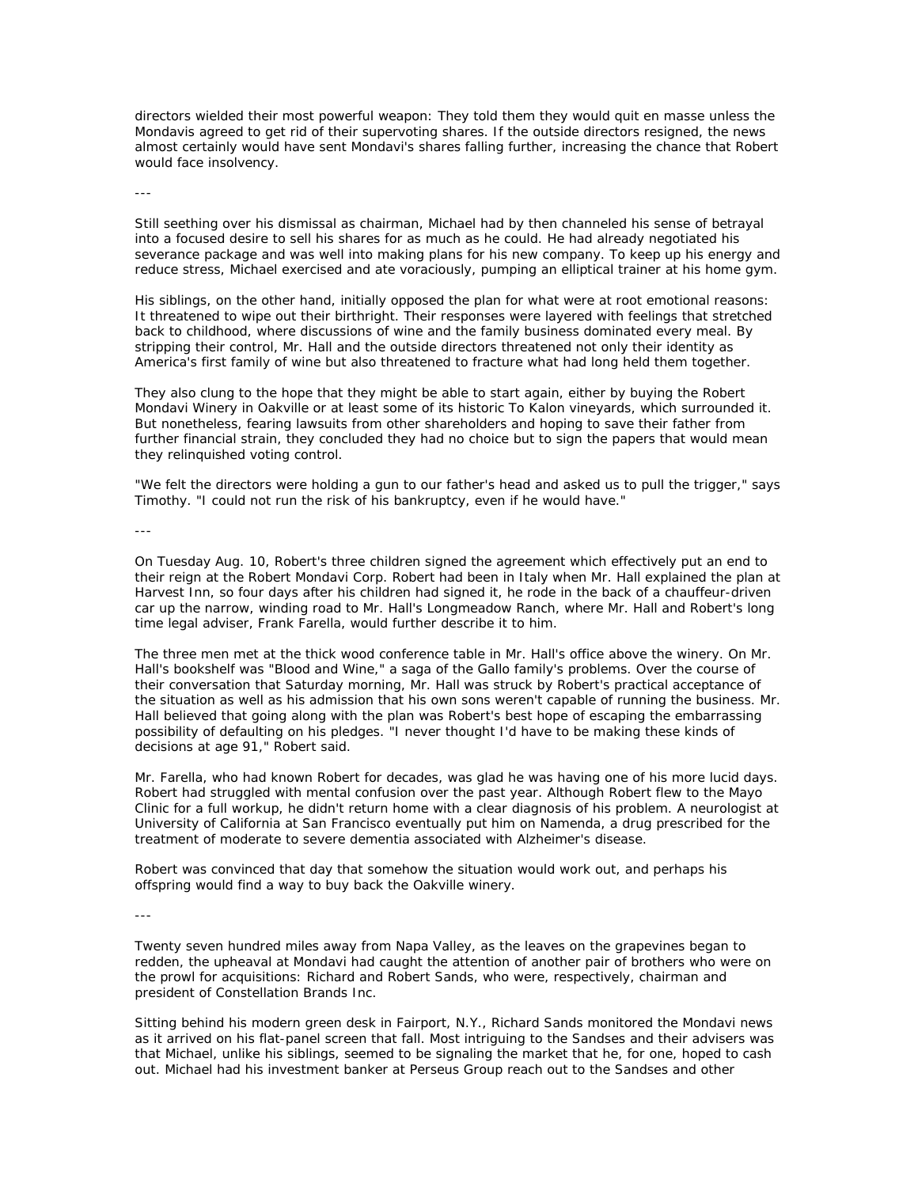directors wielded their most powerful weapon: They told them they would quit en masse unless the Mondavis agreed to get rid of their supervoting shares. If the outside directors resigned, the news almost certainly would have sent Mondavi's shares falling further, increasing the chance that Robert would face insolvency.

---

Still seething over his dismissal as chairman, Michael had by then channeled his sense of betrayal into a focused desire to sell his shares for as much as he could. He had already negotiated his severance package and was well into making plans for his new company. To keep up his energy and reduce stress, Michael exercised and ate voraciously, pumping an elliptical trainer at his home gym.

His siblings, on the other hand, initially opposed the plan for what were at root emotional reasons: It threatened to wipe out their birthright. Their responses were layered with feelings that stretched back to childhood, where discussions of wine and the family business dominated every meal. By stripping their control, Mr. Hall and the outside directors threatened not only their identity as America's first family of wine but also threatened to fracture what had long held them together.

They also clung to the hope that they might be able to start again, either by buying the Robert Mondavi Winery in Oakville or at least some of its historic To Kalon vineyards, which surrounded it. But nonetheless, fearing lawsuits from other shareholders and hoping to save their father from further financial strain, they concluded they had no choice but to sign the papers that would mean they relinquished voting control.

"We felt the directors were holding a gun to our father's head and asked us to pull the trigger," says Timothy. "I could not run the risk of his bankruptcy, even if he would have."

---

On Tuesday Aug. 10, Robert's three children signed the agreement which effectively put an end to their reign at the Robert Mondavi Corp. Robert had been in Italy when Mr. Hall explained the plan at Harvest Inn, so four days after his children had signed it, he rode in the back of a chauffeur-driven car up the narrow, winding road to Mr. Hall's Longmeadow Ranch, where Mr. Hall and Robert's long time legal adviser, Frank Farella, would further describe it to him.

The three men met at the thick wood conference table in Mr. Hall's office above the winery. On Mr. Hall's bookshelf was "Blood and Wine," a saga of the Gallo family's problems. Over the course of their conversation that Saturday morning, Mr. Hall was struck by Robert's practical acceptance of the situation as well as his admission that his own sons weren't capable of running the business. Mr. Hall believed that going along with the plan was Robert's best hope of escaping the embarrassing possibility of defaulting on his pledges. "I never thought I'd have to be making these kinds of decisions at age 91," Robert said.

Mr. Farella, who had known Robert for decades, was glad he was having one of his more lucid days. Robert had struggled with mental confusion over the past year. Although Robert flew to the Mayo Clinic for a full workup, he didn't return home with a clear diagnosis of his problem. A neurologist at University of California at San Francisco eventually put him on Namenda, a drug prescribed for the treatment of moderate to severe dementia associated with Alzheimer's disease.

Robert was convinced that day that somehow the situation would work out, and perhaps his offspring would find a way to buy back the Oakville winery.

---

Twenty seven hundred miles away from Napa Valley, as the leaves on the grapevines began to redden, the upheaval at Mondavi had caught the attention of another pair of brothers who were on the prowl for acquisitions: Richard and Robert Sands, who were, respectively, chairman and president of Constellation Brands Inc.

Sitting behind his modern green desk in Fairport, N.Y., Richard Sands monitored the Mondavi news as it arrived on his flat-panel screen that fall. Most intriguing to the Sandses and their advisers was that Michael, unlike his siblings, seemed to be signaling the market that he, for one, hoped to cash out. Michael had his investment banker at Perseus Group reach out to the Sandses and other